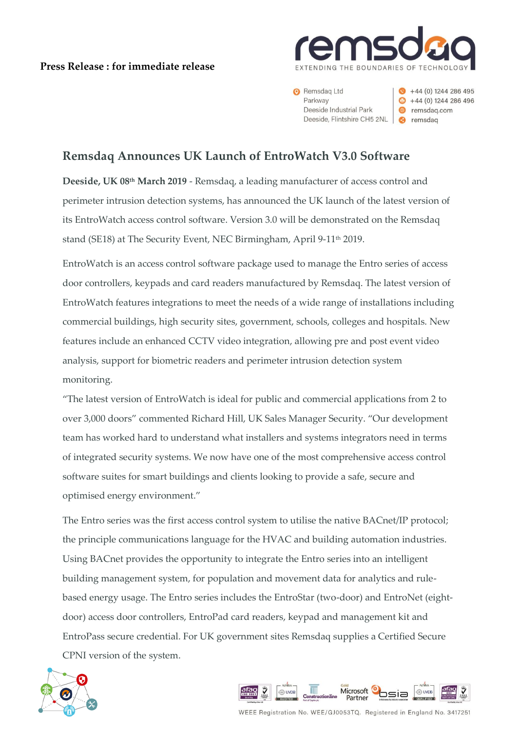## **Press Release : for immediate release**



Remsdag Ltd Parkway Deeside Industrial Park Deeside, Flintshire CH5 2NL **@** remsdag

 $+44(0)$  1244 286 495  $\bullet$  +44 (0) 1244 286 496 e remsdag.com

# **Remsdaq Announces UK Launch of EntroWatch V3.0 Software**

**Deeside, UK 08th March 2019** - Remsdaq, a leading manufacturer of access control and perimeter intrusion detection systems, has announced the UK launch of the latest version of its EntroWatch access control software. Version 3.0 will be demonstrated on the Remsdaq stand (SE18) at The Security Event, NEC Birmingham, April 9-11<sup>th</sup> 2019.

EntroWatch is an access control software package used to manage the Entro series of access door controllers, keypads and card readers manufactured by Remsdaq. The latest version of EntroWatch features integrations to meet the needs of a wide range of installations including commercial buildings, high security sites, government, schools, colleges and hospitals. New features include an enhanced CCTV video integration, allowing pre and post event video analysis, support for biometric readers and perimeter intrusion detection system monitoring.

"The latest version of EntroWatch is ideal for public and commercial applications from 2 to over 3,000 doors" commented Richard Hill, UK Sales Manager Security. "Our development team has worked hard to understand what installers and systems integrators need in terms of integrated security systems. We now have one of the most comprehensive access control software suites for smart buildings and clients looking to provide a safe, secure and optimised energy environment."

The Entro series was the first access control system to utilise the native BACnet/IP protocol; the principle communications language for the HVAC and building automation industries. Using BACnet provides the opportunity to integrate the Entro series into an intelligent building management system, for population and movement data for analytics and rulebased energy usage. The Entro series includes the EntroStar (two-door) and EntroNet (eightdoor) access door controllers, EntroPad card readers, keypad and management kit and EntroPass secure credential. For UK government sites Remsdaq supplies a Certified Secure CPNI version of the system.





WEEE Registration No. WEE/GJ0053TQ. Registered in England No. 3417251